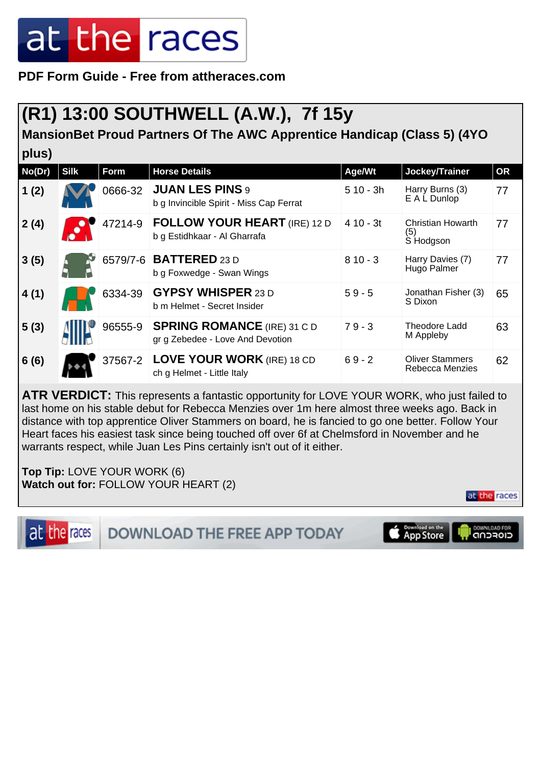# at the races

**PDF Form Guide - Free from attheraces.com**

### **(R1) 13:00 SOUTHWELL (A.W.), 7f 15y**

**MansionBet Proud Partners Of The AWC Apprentice Handicap (Class 5) (4YO**

| plus)  |             |         |                                                                        |            |                                           |           |  |  |  |  |
|--------|-------------|---------|------------------------------------------------------------------------|------------|-------------------------------------------|-----------|--|--|--|--|
| No(Dr) | <b>Silk</b> | Form    | <b>Horse Details</b>                                                   | Age/Wt     | Jockey/Trainer                            | <b>OR</b> |  |  |  |  |
| 1(2)   |             | 0666-32 | <b>JUAN LES PINS 9</b><br>b g Invincible Spirit - Miss Cap Ferrat      | $510 - 3h$ | Harry Burns (3)<br>E A L Dunlop           | 77        |  |  |  |  |
| 2(4)   |             | 47214-9 | <b>FOLLOW YOUR HEART</b> (IRE) 12 D<br>b g Estidhkaar - Al Gharrafa    | $410 - 3t$ | Christian Howarth<br>(5)<br>S Hodgson     | 77        |  |  |  |  |
| 3(5)   |             |         | 6579/7-6 <b>BATTERED</b> 23 D<br>b g Foxwedge - Swan Wings             | $810 - 3$  | Harry Davies (7)<br>Hugo Palmer           | 77        |  |  |  |  |
| 4(1)   |             | 6334-39 | <b>GYPSY WHISPER 23 D</b><br>b m Helmet - Secret Insider               | $59 - 5$   | Jonathan Fisher (3)<br>S Dixon            | 65        |  |  |  |  |
| 5(3)   |             | 96555-9 | <b>SPRING ROMANCE (IRE) 31 C D</b><br>gr g Zebedee - Love And Devotion | $79 - 3$   | <b>Theodore Ladd</b><br>M Appleby         | 63        |  |  |  |  |
| 6(6)   |             | 37567-2 | <b>LOVE YOUR WORK (IRE) 18 CD</b><br>ch g Helmet - Little Italy        | $69 - 2$   | <b>Oliver Stammers</b><br>Rebecca Menzies | 62        |  |  |  |  |

**ATR VERDICT:** This represents a fantastic opportunity for LOVE YOUR WORK, who just failed to last home on his stable debut for Rebecca Menzies over 1m here almost three weeks ago. Back in distance with top apprentice Oliver Stammers on board, he is fancied to go one better. Follow Your Heart faces his easiest task since being touched off over 6f at Chelmsford in November and he warrants respect, while Juan Les Pins certainly isn't out of it either.

**Top Tip:** LOVE YOUR WORK (6) **Watch out for:** FOLLOW YOUR HEART (2)

at the races

**DOWNLOAD THE FREE APP TODAY** 

Download on the<br>App Store DOWNLOAD FOR

at the races